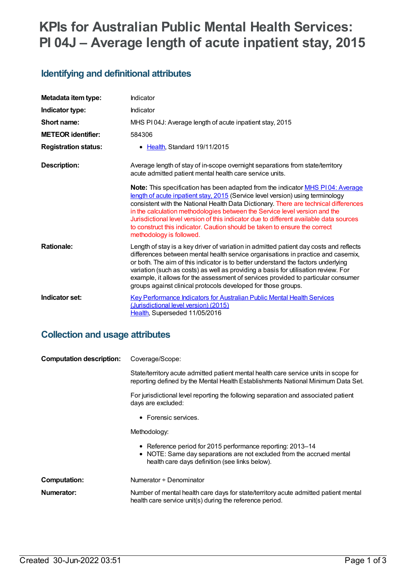# **KPIs for Australian Public Mental Health Services: PI 04J – Average length of acute inpatient stay, 2015**

## **Identifying and definitional attributes**

| Metadata item type:         | Indicator                                                                                                                                                                                                                                                                                                                                                                                                                                                                                                                                  |
|-----------------------------|--------------------------------------------------------------------------------------------------------------------------------------------------------------------------------------------------------------------------------------------------------------------------------------------------------------------------------------------------------------------------------------------------------------------------------------------------------------------------------------------------------------------------------------------|
| Indicator type:             | Indicator                                                                                                                                                                                                                                                                                                                                                                                                                                                                                                                                  |
| Short name:                 | MHS PI04J: Average length of acute inpatient stay, 2015                                                                                                                                                                                                                                                                                                                                                                                                                                                                                    |
| <b>METEOR</b> identifier:   | 584306                                                                                                                                                                                                                                                                                                                                                                                                                                                                                                                                     |
| <b>Registration status:</b> | • Health, Standard 19/11/2015                                                                                                                                                                                                                                                                                                                                                                                                                                                                                                              |
| Description:                | Average length of stay of in-scope overnight separations from state/territory<br>acute admitted patient mental health care service units.                                                                                                                                                                                                                                                                                                                                                                                                  |
|                             | Note: This specification has been adapted from the indicator MHS P104: Average<br>length of acute inpatient stay, 2015 (Service level version) using terminology<br>consistent with the National Health Data Dictionary. There are technical differences<br>in the calculation methodologies between the Service level version and the<br>Jurisdictional level version of this indicator due to different available data sources<br>to construct this indicator. Caution should be taken to ensure the correct<br>methodology is followed. |
| <b>Rationale:</b>           | Length of stay is a key driver of variation in admitted patient day costs and reflects<br>differences between mental health service organisations in practice and casemix,<br>or both. The aim of this indicator is to better understand the factors underlying<br>variation (such as costs) as well as providing a basis for utilisation review. For<br>example, it allows for the assessment of services provided to particular consumer<br>groups against clinical protocols developed for those groups.                                |
| Indicator set:              | <b>Key Performance Indicators for Australian Public Mental Health Services</b><br>(Jurisdictional level version) (2015)<br>Health, Superseded 11/05/2016                                                                                                                                                                                                                                                                                                                                                                                   |

### **Collection and usage attributes**

| <b>Computation description:</b> | Coverage/Scope:                                                                                                                                                                       |
|---------------------------------|---------------------------------------------------------------------------------------------------------------------------------------------------------------------------------------|
|                                 | State/territory acute admitted patient mental health care service units in scope for<br>reporting defined by the Mental Health Establishments National Minimum Data Set.              |
|                                 | For jurisdictional level reporting the following separation and associated patient<br>days are excluded:                                                                              |
|                                 | $\bullet$ Forensic services.                                                                                                                                                          |
|                                 | Methodology:                                                                                                                                                                          |
|                                 | • Reference period for 2015 performance reporting: 2013–14<br>• NOTE: Same day separations are not excluded from the accrued mental<br>health care days definition (see links below). |
| <b>Computation:</b>             | Numerator + Denominator                                                                                                                                                               |
| Numerator:                      | Number of mental health care days for state/territory acute admitted patient mental<br>health care service unit(s) during the reference period.                                       |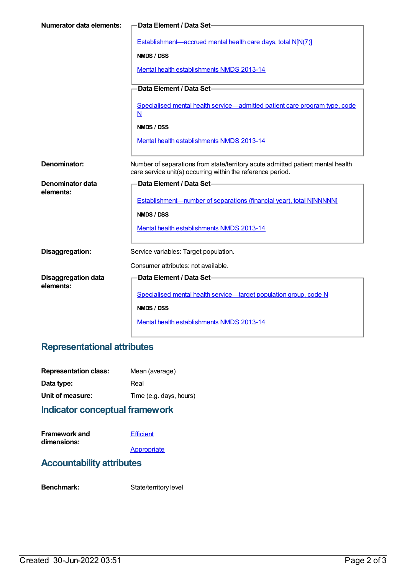| Numerator data elements:                | Data Element / Data Set-                                                                                                                       |
|-----------------------------------------|------------------------------------------------------------------------------------------------------------------------------------------------|
|                                         | Establishment—accrued mental health care days, total N[N(7)]                                                                                   |
|                                         | NMDS / DSS                                                                                                                                     |
|                                         | Mental health establishments NMDS 2013-14                                                                                                      |
|                                         | Data Element / Data Set-                                                                                                                       |
|                                         | Specialised mental health service-admitted patient care program type, code<br>$\overline{\mathsf{N}}$                                          |
|                                         | NMDS / DSS                                                                                                                                     |
|                                         | Mental health establishments NMDS 2013-14                                                                                                      |
| Denominator:                            | Number of separations from state/territory acute admitted patient mental health<br>care service unit(s) occurring within the reference period. |
| Denominator data                        | Data Element / Data Set-                                                                                                                       |
| elements:                               | Establishment-number of separations (financial year), total NJNNNNN]                                                                           |
|                                         | NMDS / DSS                                                                                                                                     |
|                                         | Mental health establishments NMDS 2013-14                                                                                                      |
| Disaggregation:                         | Service variables: Target population.                                                                                                          |
|                                         | Consumer attributes: not available.                                                                                                            |
| <b>Disaggregation data</b><br>elements: | Data Element / Data Set-                                                                                                                       |
|                                         | Specialised mental health service—target population group, code N                                                                              |
|                                         | NMDS / DSS                                                                                                                                     |
|                                         | Mental health establishments NMDS 2013-14                                                                                                      |

### **Representational attributes**

| <b>Representation class:</b> | Mean (average)          |
|------------------------------|-------------------------|
| Data type:                   | Real                    |
| Unit of measure:             | Time (e.g. days, hours) |
|                              |                         |

## **Indicator conceptual framework**

**Framework and dimensions: [Efficient](https://meteor.aihw.gov.au/content/584870) [Appropriate](https://meteor.aihw.gov.au/content/584871)** 

### **Accountability attributes**

Benchmark: State/territory level